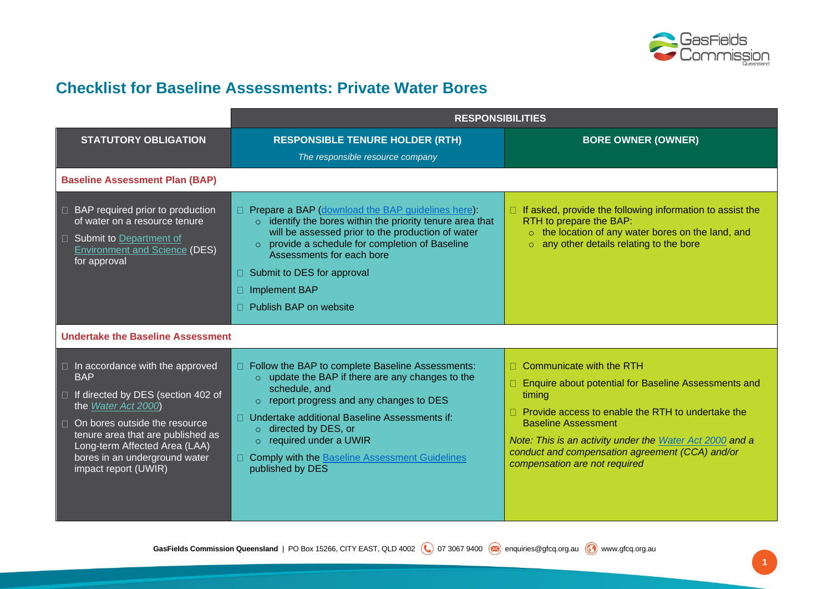

## **Checklist for Baseline Assessments: Private Water Bores**

|                                                                                                                                                                                                                                                                                            | <b>RESPONSIBILITIES</b>                                                                                                                                                                                                                                                                                                                                                                 |                                                                                                                                                                                                                                                                                                                                            |
|--------------------------------------------------------------------------------------------------------------------------------------------------------------------------------------------------------------------------------------------------------------------------------------------|-----------------------------------------------------------------------------------------------------------------------------------------------------------------------------------------------------------------------------------------------------------------------------------------------------------------------------------------------------------------------------------------|--------------------------------------------------------------------------------------------------------------------------------------------------------------------------------------------------------------------------------------------------------------------------------------------------------------------------------------------|
| <b>STATUTORY OBLIGATION</b>                                                                                                                                                                                                                                                                | <b>RESPONSIBLE TENURE HOLDER (RTH)</b><br>The responsible resource company                                                                                                                                                                                                                                                                                                              | <b>BORE OWNER (OWNER)</b>                                                                                                                                                                                                                                                                                                                  |
| <b>Baseline Assessment Plan (BAP)</b>                                                                                                                                                                                                                                                      |                                                                                                                                                                                                                                                                                                                                                                                         |                                                                                                                                                                                                                                                                                                                                            |
| $\Box$ BAP required prior to production<br>of water on a resource tenure<br>$\Box$ Submit to Department of<br><b>Environment and Science (DES)</b><br>for approval                                                                                                                         | $\Box$ Prepare a BAP (download the BAP guidelines here):<br>$\circ$ identify the bores within the priority tenure area that<br>will be assessed prior to the production of water<br>o provide a schedule for completion of Baseline<br>Assessments for each bore<br>Submit to DES for approval<br>П.<br><b>Implement BAP</b><br>П.<br>Publish BAP on website<br>П.                      | $\Box$ If asked, provide the following information to assist the<br>RTH to prepare the BAP:<br>o the location of any water bores on the land, and<br>any other details relating to the bore<br>$\circ$                                                                                                                                     |
| <b>Undertake the Baseline Assessment</b>                                                                                                                                                                                                                                                   |                                                                                                                                                                                                                                                                                                                                                                                         |                                                                                                                                                                                                                                                                                                                                            |
| $\Box$ In accordance with the approved<br><b>BAP</b><br>□ If directed by DES (section 402 of<br>the Water Act 2000)<br>$\Box$ On bores outside the resource<br>tenure area that are published as<br>Long-term Affected Area (LAA)<br>bores in an underground water<br>impact report (UWIR) | □ Follow the BAP to complete Baseline Assessments:<br>o update the BAP if there are any changes to the<br>schedule, and<br>$\circ$ report progress and any changes to DES<br>Undertake additional Baseline Assessments if:<br>$\Box$<br>$\circ$ directed by DES, or<br>$\circ$ required under a UWIR<br><b>Comply with the Baseline Assessment Guidelines</b><br>П.<br>published by DES | $\Box$ Communicate with the RTH<br>Enquire about potential for Baseline Assessments and<br>П.<br>timing<br>Provide access to enable the RTH to undertake the<br><b>Baseline Assessment</b><br>Note: This is an activity under the Water Act 2000 and a<br>conduct and compensation agreement (CCA) and/or<br>compensation are not required |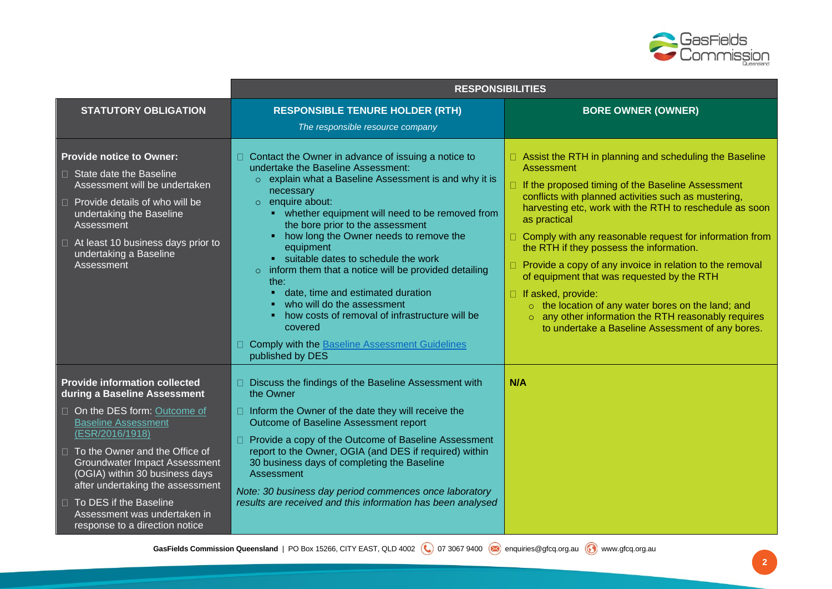

|                                                                                                                                                                                                                                                                                                                                                                                                 | <b>RESPONSIBILITIES</b>                                                                                                                                                                                                                                                                                                                                                                                                                                                                                                                                                                                                                                                                       |                                                                                                                                                                                                                                                                                                                                                                                                                                                                                                                                                                                                                                                                                          |
|-------------------------------------------------------------------------------------------------------------------------------------------------------------------------------------------------------------------------------------------------------------------------------------------------------------------------------------------------------------------------------------------------|-----------------------------------------------------------------------------------------------------------------------------------------------------------------------------------------------------------------------------------------------------------------------------------------------------------------------------------------------------------------------------------------------------------------------------------------------------------------------------------------------------------------------------------------------------------------------------------------------------------------------------------------------------------------------------------------------|------------------------------------------------------------------------------------------------------------------------------------------------------------------------------------------------------------------------------------------------------------------------------------------------------------------------------------------------------------------------------------------------------------------------------------------------------------------------------------------------------------------------------------------------------------------------------------------------------------------------------------------------------------------------------------------|
| <b>STATUTORY OBLIGATION</b>                                                                                                                                                                                                                                                                                                                                                                     | <b>RESPONSIBLE TENURE HOLDER (RTH)</b><br>The responsible resource company                                                                                                                                                                                                                                                                                                                                                                                                                                                                                                                                                                                                                    | <b>BORE OWNER (OWNER)</b>                                                                                                                                                                                                                                                                                                                                                                                                                                                                                                                                                                                                                                                                |
| <b>Provide notice to Owner:</b><br>□ State date the Baseline<br>Assessment will be undertaken<br>$\Box$ Provide details of who will be<br>undertaking the Baseline<br>Assessment<br>$\Box$ At least 10 business days prior to<br>undertaking a Baseline<br>Assessment                                                                                                                           | $\Box$ Contact the Owner in advance of issuing a notice to<br>undertake the Baseline Assessment:<br>o explain what a Baseline Assessment is and why it is<br>necessary<br>$\circ$ enquire about:<br>• whether equipment will need to be removed from<br>the bore prior to the assessment<br>how long the Owner needs to remove the<br>٠<br>equipment<br>• suitable dates to schedule the work<br>$\circ$ inform them that a notice will be provided detailing<br>the:<br>date, time and estimated duration<br>who will do the assessment<br>how costs of removal of infrastructure will be<br>п<br>covered<br><b>Comply with the Baseline Assessment Guidelines</b><br>П.<br>published by DES | □ Assist the RTH in planning and scheduling the Baseline<br>Assessment<br>□ If the proposed timing of the Baseline Assessment<br>conflicts with planned activities such as mustering,<br>harvesting etc, work with the RTH to reschedule as soon<br>as practical<br>□ Comply with any reasonable request for information from<br>the RTH if they possess the information.<br>$\Box$ Provide a copy of any invoice in relation to the removal<br>of equipment that was requested by the RTH<br>$\Box$ If asked, provide:<br>o the location of any water bores on the land; and<br>o any other information the RTH reasonably requires<br>to undertake a Baseline Assessment of any bores. |
| <b>Provide information collected</b><br>during a Baseline Assessment<br>□ On the DES form: Outcome of<br><b>Baseline Assessment</b><br>(ESR/2016/1918)<br>□ To the Owner and the Office of<br>Groundwater Impact Assessment<br>(OGIA) within 30 business days<br>after undertaking the assessment<br>□ To DES if the Baseline<br>Assessment was undertaken in<br>response to a direction notice | □ Discuss the findings of the Baseline Assessment with<br>the Owner<br>□ Inform the Owner of the date they will receive the<br>Outcome of Baseline Assessment report<br>□ Provide a copy of the Outcome of Baseline Assessment<br>report to the Owner, OGIA (and DES if required) within<br>30 business days of completing the Baseline<br>Assessment<br>Note: 30 business day period commences once laboratory<br>results are received and this information has been analysed                                                                                                                                                                                                                | N/A                                                                                                                                                                                                                                                                                                                                                                                                                                                                                                                                                                                                                                                                                      |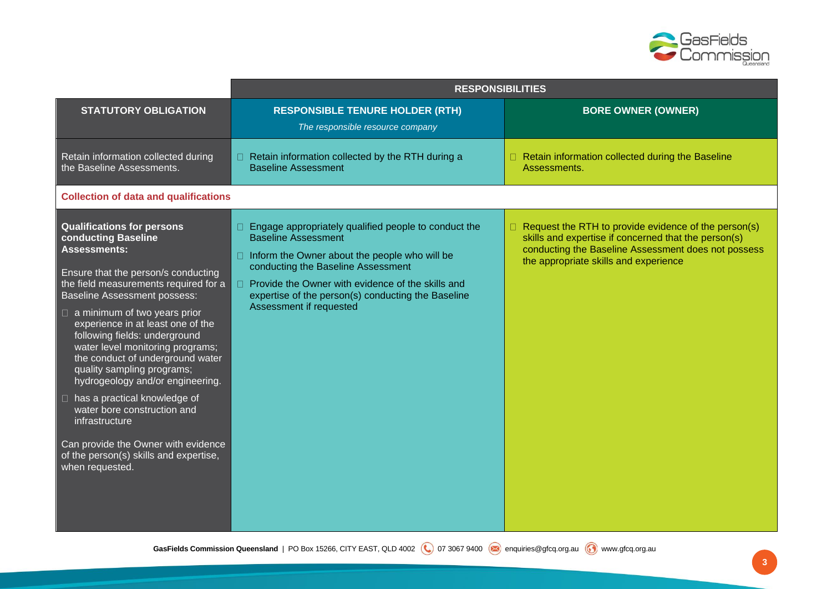

|                                                                                                                                                                                                                                                                                                                                                                                                                                                                                                                                                                                                                                                           | <b>RESPONSIBILITIES</b>                                                                                                                                                                                                                                                                                                            |                                                                                                                                                                                                              |
|-----------------------------------------------------------------------------------------------------------------------------------------------------------------------------------------------------------------------------------------------------------------------------------------------------------------------------------------------------------------------------------------------------------------------------------------------------------------------------------------------------------------------------------------------------------------------------------------------------------------------------------------------------------|------------------------------------------------------------------------------------------------------------------------------------------------------------------------------------------------------------------------------------------------------------------------------------------------------------------------------------|--------------------------------------------------------------------------------------------------------------------------------------------------------------------------------------------------------------|
| <b>STATUTORY OBLIGATION</b>                                                                                                                                                                                                                                                                                                                                                                                                                                                                                                                                                                                                                               | <b>RESPONSIBLE TENURE HOLDER (RTH)</b><br>The responsible resource company                                                                                                                                                                                                                                                         | <b>BORE OWNER (OWNER)</b>                                                                                                                                                                                    |
| Retain information collected during<br>the Baseline Assessments.                                                                                                                                                                                                                                                                                                                                                                                                                                                                                                                                                                                          | □ Retain information collected by the RTH during a<br><b>Baseline Assessment</b>                                                                                                                                                                                                                                                   | Retain information collected during the Baseline<br>Assessments.                                                                                                                                             |
| <b>Collection of data and qualifications</b>                                                                                                                                                                                                                                                                                                                                                                                                                                                                                                                                                                                                              |                                                                                                                                                                                                                                                                                                                                    |                                                                                                                                                                                                              |
| <b>Qualifications for persons</b><br>conducting Baseline<br><b>Assessments:</b><br>Ensure that the person/s conducting<br>the field measurements required for a<br><b>Baseline Assessment possess:</b><br>$\Box$ a minimum of two years prior<br>experience in at least one of the<br>following fields: underground<br>water level monitoring programs;<br>the conduct of underground water<br>quality sampling programs;<br>hydrogeology and/or engineering.<br>$\Box$ has a practical knowledge of<br>water bore construction and<br>infrastructure<br>Can provide the Owner with evidence<br>of the person(s) skills and expertise,<br>when requested. | Engage appropriately qualified people to conduct the<br>$\Box$<br><b>Baseline Assessment</b><br>$\Box$ Inform the Owner about the people who will be<br>conducting the Baseline Assessment<br>□ Provide the Owner with evidence of the skills and<br>expertise of the person(s) conducting the Baseline<br>Assessment if requested | Request the RTH to provide evidence of the person(s)<br>skills and expertise if concerned that the person(s)<br>conducting the Baseline Assessment does not possess<br>the appropriate skills and experience |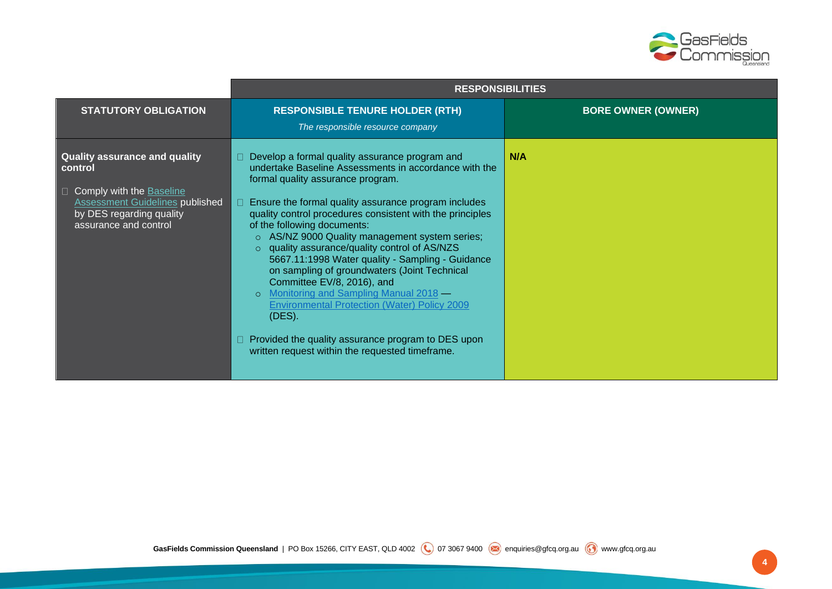

|                                                                                                                                                                              | <b>RESPONSIBILITIES</b>                                                                                                                                                                                                                                                                                                                                                                                                                                                                                                                                                                                                                                                                                                                                    |                           |
|------------------------------------------------------------------------------------------------------------------------------------------------------------------------------|------------------------------------------------------------------------------------------------------------------------------------------------------------------------------------------------------------------------------------------------------------------------------------------------------------------------------------------------------------------------------------------------------------------------------------------------------------------------------------------------------------------------------------------------------------------------------------------------------------------------------------------------------------------------------------------------------------------------------------------------------------|---------------------------|
| <b>STATUTORY OBLIGATION</b>                                                                                                                                                  | <b>RESPONSIBLE TENURE HOLDER (RTH)</b><br>The responsible resource company                                                                                                                                                                                                                                                                                                                                                                                                                                                                                                                                                                                                                                                                                 | <b>BORE OWNER (OWNER)</b> |
| <b>Quality assurance and quality</b><br>control<br>□ Comply with the Baseline<br><b>Assessment Guidelines published</b><br>by DES regarding quality<br>assurance and control | Develop a formal quality assurance program and<br>undertake Baseline Assessments in accordance with the<br>formal quality assurance program.<br>Ensure the formal quality assurance program includes<br>quality control procedures consistent with the principles<br>of the following documents:<br>o AS/NZ 9000 Quality management system series;<br>o quality assurance/quality control of AS/NZS<br>5667.11:1998 Water quality - Sampling - Guidance<br>on sampling of groundwaters (Joint Technical<br>Committee EV/8, 2016), and<br>o Monitoring and Sampling Manual 2018 –<br><b>Environmental Protection (Water) Policy 2009</b><br>(DES).<br>Provided the quality assurance program to DES upon<br>written request within the requested timeframe. | N/A                       |

**4**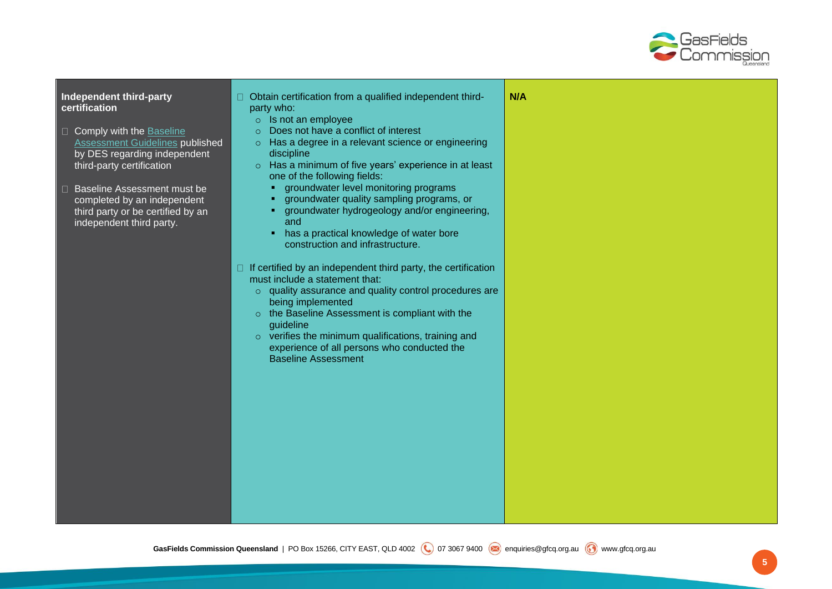

## **Independent third-party certification**

- Comply with the Baseline [Assessment Guidelines](https://environment.des.qld.gov.au/management/activities/non-mining/water/groundwater#baseline_assessments) published by DES regarding independent third-party certification
- □ Baseline Assessment must be completed by an independent third party or be certified by an independent third party.

|   | Obtain certification from a qualified independent third-<br>party who:<br>$\circ$ Is not an employee<br>Does not have a conflict of interest<br>$\circ$<br>Has a degree in a relevant science or engineering<br>$\circ$<br>discipline<br>Has a minimum of five years' experience in at least<br>$\circ$<br>one of the following fields:<br>groundwater level monitoring programs<br>٠<br>groundwater quality sampling programs, or<br>groundwater hydrogeology and/or engineering,<br>and<br>has a practical knowledge of water bore<br>٠<br>construction and infrastructure. | N/A |
|---|-------------------------------------------------------------------------------------------------------------------------------------------------------------------------------------------------------------------------------------------------------------------------------------------------------------------------------------------------------------------------------------------------------------------------------------------------------------------------------------------------------------------------------------------------------------------------------|-----|
| Ш | If certified by an independent third party, the certification<br>must include a statement that:<br>$\circ$ quality assurance and quality control procedures are<br>being implemented<br>the Baseline Assessment is compliant with the<br>guideline<br>$\circ$ verifies the minimum qualifications, training and<br>experience of all persons who conducted the<br><b>Baseline Assessment</b>                                                                                                                                                                                  |     |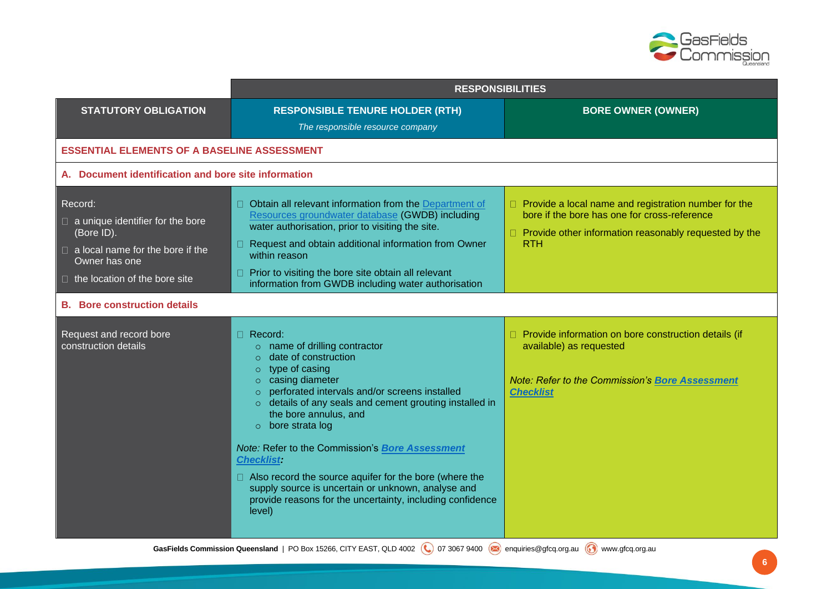

|                                                                                                                                                                                                             | <b>RESPONSIBILITIES</b>                                                                                                                                                                                                                                                                                                                                                                                                                                                                                                                                                                  |                                                                                                                                                                                      |
|-------------------------------------------------------------------------------------------------------------------------------------------------------------------------------------------------------------|------------------------------------------------------------------------------------------------------------------------------------------------------------------------------------------------------------------------------------------------------------------------------------------------------------------------------------------------------------------------------------------------------------------------------------------------------------------------------------------------------------------------------------------------------------------------------------------|--------------------------------------------------------------------------------------------------------------------------------------------------------------------------------------|
| <b>STATUTORY OBLIGATION</b>                                                                                                                                                                                 | <b>RESPONSIBLE TENURE HOLDER (RTH)</b><br>The responsible resource company                                                                                                                                                                                                                                                                                                                                                                                                                                                                                                               | <b>BORE OWNER (OWNER)</b>                                                                                                                                                            |
| <b>ESSENTIAL ELEMENTS OF A BASELINE ASSESSMENT</b>                                                                                                                                                          |                                                                                                                                                                                                                                                                                                                                                                                                                                                                                                                                                                                          |                                                                                                                                                                                      |
| A. Document identification and bore site information                                                                                                                                                        |                                                                                                                                                                                                                                                                                                                                                                                                                                                                                                                                                                                          |                                                                                                                                                                                      |
| Record:<br>$\Box$ a unique identifier for the bore<br>(Bore ID).<br>$\Box$ a local name for the bore if the<br>Owner has one<br>$\Box$ the location of the bore site<br><b>B.</b> Bore construction details | □ Obtain all relevant information from the Department of<br>Resources groundwater database (GWDB) including<br>water authorisation, prior to visiting the site.<br>□ Request and obtain additional information from Owner<br>within reason<br>Prior to visiting the bore site obtain all relevant<br>П.<br>information from GWDB including water authorisation                                                                                                                                                                                                                           | $\Box$ Provide a local name and registration number for the<br>bore if the bore has one for cross-reference<br>□ Provide other information reasonably requested by the<br><b>RTH</b> |
| Request and record bore<br>construction details                                                                                                                                                             | $\Box$ Record:<br>o name of drilling contractor<br>date of construction<br>$\circ$<br>$\circ$ type of casing<br>$\circ$ casing diameter<br>perforated intervals and/or screens installed<br>$\circ$<br>o details of any seals and cement grouting installed in<br>the bore annulus, and<br>$\circ$ bore strata log<br>Note: Refer to the Commission's Bore Assessment<br><b>Checklist:</b><br>$\Box$ Also record the source aquifer for the bore (where the<br>supply source is uncertain or unknown, analyse and<br>provide reasons for the uncertainty, including confidence<br>level) | □ Provide information on bore construction details (if<br>available) as requested<br>Note: Refer to the Commission's Bore Assessment<br><b>Checklist</b>                             |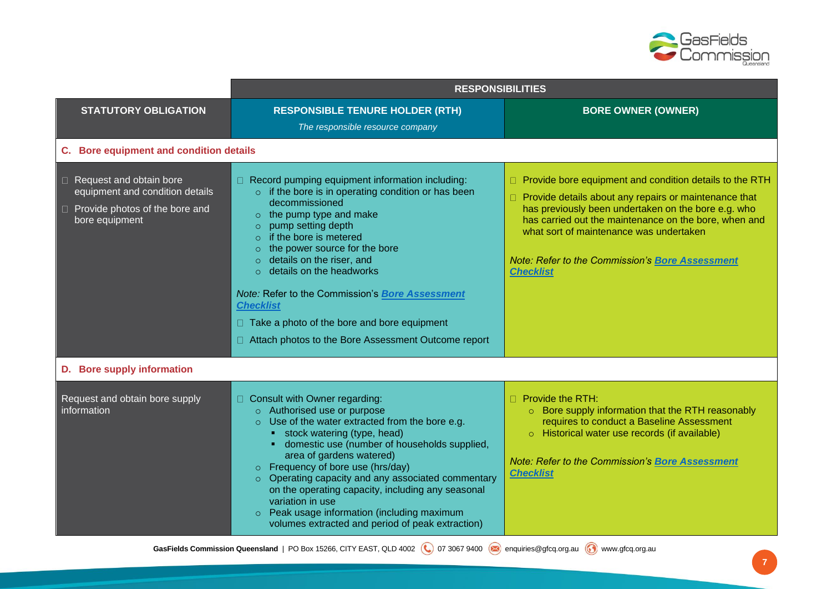

|                                                                                                                                 | <b>RESPONSIBILITIES</b>                                                                                                                                                                                                                                                                                                                                                                                                                                                                                                               |                                                                                                                                                                                                                                                                                                                                                                         |
|---------------------------------------------------------------------------------------------------------------------------------|---------------------------------------------------------------------------------------------------------------------------------------------------------------------------------------------------------------------------------------------------------------------------------------------------------------------------------------------------------------------------------------------------------------------------------------------------------------------------------------------------------------------------------------|-------------------------------------------------------------------------------------------------------------------------------------------------------------------------------------------------------------------------------------------------------------------------------------------------------------------------------------------------------------------------|
| <b>STATUTORY OBLIGATION</b>                                                                                                     | <b>RESPONSIBLE TENURE HOLDER (RTH)</b><br>The responsible resource company                                                                                                                                                                                                                                                                                                                                                                                                                                                            | <b>BORE OWNER (OWNER)</b>                                                                                                                                                                                                                                                                                                                                               |
| C. Bore equipment and condition details                                                                                         |                                                                                                                                                                                                                                                                                                                                                                                                                                                                                                                                       |                                                                                                                                                                                                                                                                                                                                                                         |
| $\Box$ Request and obtain bore<br>equipment and condition details<br>Provide photos of the bore and<br>$\Box$<br>bore equipment | □ Record pumping equipment information including:<br>o if the bore is in operating condition or has been<br>decommissioned<br>$\circ$ the pump type and make<br>pump setting depth<br>$\circ$<br>if the bore is metered<br>$\circ$<br>the power source for the bore<br>$\circ$<br>details on the riser, and<br>$\circ$ details on the headworks<br>Note: Refer to the Commission's Bore Assessment<br><b>Checklist</b><br>$\Box$ Take a photo of the bore and bore equipment<br>□ Attach photos to the Bore Assessment Outcome report | $\Box$ Provide bore equipment and condition details to the RTH<br>$\Box$ Provide details about any repairs or maintenance that<br>has previously been undertaken on the bore e.g. who<br>has carried out the maintenance on the bore, when and<br>what sort of maintenance was undertaken<br><b>Note: Refer to the Commission's Bore Assessment</b><br><b>Checklist</b> |
| D. Bore supply information                                                                                                      |                                                                                                                                                                                                                                                                                                                                                                                                                                                                                                                                       |                                                                                                                                                                                                                                                                                                                                                                         |
| Request and obtain bore supply<br>information                                                                                   | Consult with Owner regarding:<br>o Authorised use or purpose<br>$\circ$ Use of the water extracted from the bore e.g.<br>• stock watering (type, head)<br>• domestic use (number of households supplied,<br>area of gardens watered)<br>$\circ$ Frequency of bore use (hrs/day)<br>Operating capacity and any associated commentary<br>$\circ$<br>on the operating capacity, including any seasonal<br>variation in use<br>o Peak usage information (including maximum<br>volumes extracted and period of peak extraction)            | $\Box$ Provide the RTH:<br>○ Bore supply information that the RTH reasonably<br>requires to conduct a Baseline Assessment<br>o Historical water use records (if available)<br>Note: Refer to the Commission's Bore Assessment<br><b>Checklist</b>                                                                                                                       |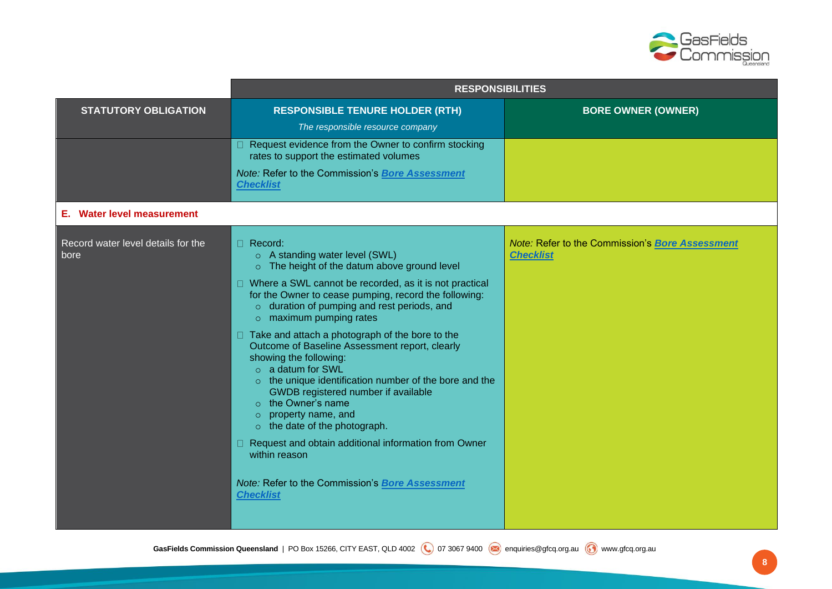

|                                            | <b>RESPONSIBILITIES</b>                                                                                                                                                                                                                                                                                                                                                                                                                                                                                                                                                                                                                                                                                                                                                                                                    |                                                                     |
|--------------------------------------------|----------------------------------------------------------------------------------------------------------------------------------------------------------------------------------------------------------------------------------------------------------------------------------------------------------------------------------------------------------------------------------------------------------------------------------------------------------------------------------------------------------------------------------------------------------------------------------------------------------------------------------------------------------------------------------------------------------------------------------------------------------------------------------------------------------------------------|---------------------------------------------------------------------|
| <b>STATUTORY OBLIGATION</b>                | <b>RESPONSIBLE TENURE HOLDER (RTH)</b>                                                                                                                                                                                                                                                                                                                                                                                                                                                                                                                                                                                                                                                                                                                                                                                     | <b>BORE OWNER (OWNER)</b>                                           |
|                                            | The responsible resource company                                                                                                                                                                                                                                                                                                                                                                                                                                                                                                                                                                                                                                                                                                                                                                                           |                                                                     |
|                                            | □ Request evidence from the Owner to confirm stocking<br>rates to support the estimated volumes                                                                                                                                                                                                                                                                                                                                                                                                                                                                                                                                                                                                                                                                                                                            |                                                                     |
|                                            | Note: Refer to the Commission's Bore Assessment<br><b>Checklist</b>                                                                                                                                                                                                                                                                                                                                                                                                                                                                                                                                                                                                                                                                                                                                                        |                                                                     |
| <b>Water level measurement</b><br>Е.       |                                                                                                                                                                                                                                                                                                                                                                                                                                                                                                                                                                                                                                                                                                                                                                                                                            |                                                                     |
| Record water level details for the<br>bore | $\Box$ Record:<br>o A standing water level (SWL)<br>o The height of the datum above ground level<br>□ Where a SWL cannot be recorded, as it is not practical<br>for the Owner to cease pumping, record the following:<br>$\circ$ duration of pumping and rest periods, and<br>$\circ$ maximum pumping rates<br>$\Box$ Take and attach a photograph of the bore to the<br>Outcome of Baseline Assessment report, clearly<br>showing the following:<br>o a datum for SWL<br>o the unique identification number of the bore and the<br>GWDB registered number if available<br>$\circ$ the Owner's name<br>$\circ$ property name, and<br>$\circ$ the date of the photograph.<br>□ Request and obtain additional information from Owner<br>within reason<br>Note: Refer to the Commission's Bore Assessment<br><b>Checklist</b> | Note: Refer to the Commission's Bore Assessment<br><b>Checklist</b> |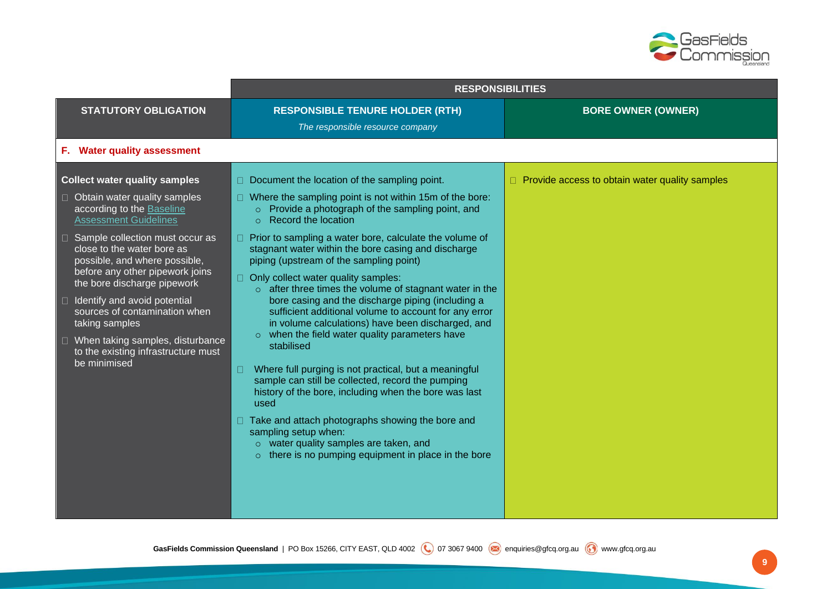

| <b>BORE OWNER (OWNER)</b>                             |
|-------------------------------------------------------|
|                                                       |
|                                                       |
| $\Box$ Provide access to obtain water quality samples |
|                                                       |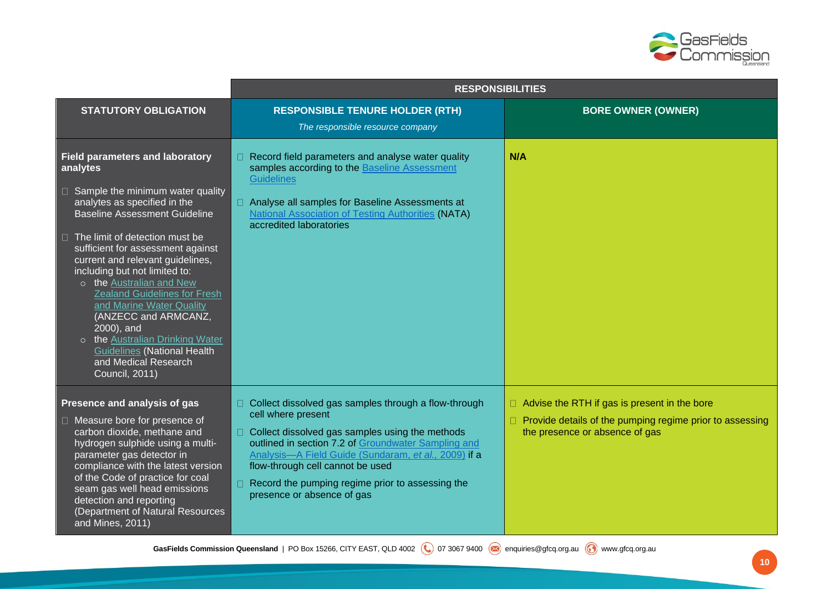

|                                                                                                                                                                                                                                                                                                                                                                                                                | <b>RESPONSIBILITIES</b>                                                                                                                                                                                                                                                                                                                                                            |                                                                                                                                                   |
|----------------------------------------------------------------------------------------------------------------------------------------------------------------------------------------------------------------------------------------------------------------------------------------------------------------------------------------------------------------------------------------------------------------|------------------------------------------------------------------------------------------------------------------------------------------------------------------------------------------------------------------------------------------------------------------------------------------------------------------------------------------------------------------------------------|---------------------------------------------------------------------------------------------------------------------------------------------------|
| <b>STATUTORY OBLIGATION</b>                                                                                                                                                                                                                                                                                                                                                                                    | <b>RESPONSIBLE TENURE HOLDER (RTH)</b>                                                                                                                                                                                                                                                                                                                                             | <b>BORE OWNER (OWNER)</b>                                                                                                                         |
|                                                                                                                                                                                                                                                                                                                                                                                                                | The responsible resource company                                                                                                                                                                                                                                                                                                                                                   |                                                                                                                                                   |
| <b>Field parameters and laboratory</b><br>analytes                                                                                                                                                                                                                                                                                                                                                             | Record field parameters and analyse water quality<br>samples according to the Baseline Assessment<br><b>Guidelines</b>                                                                                                                                                                                                                                                             | N/A                                                                                                                                               |
| $\Box$ Sample the minimum water quality<br>analytes as specified in the<br><b>Baseline Assessment Guideline</b>                                                                                                                                                                                                                                                                                                | □ Analyse all samples for Baseline Assessments at<br><b>National Association of Testing Authorities (NATA)</b><br>accredited laboratories                                                                                                                                                                                                                                          |                                                                                                                                                   |
| $\Box$ The limit of detection must be<br>sufficient for assessment against<br>current and relevant guidelines,<br>including but not limited to:<br>o the Australian and New<br><b>Zealand Guidelines for Fresh</b><br>and Marine Water Quality<br>(ANZECC and ARMCANZ,<br>2000), and<br>o the Australian Drinking Water<br><b>Guidelines (National Health</b><br>and Medical Research<br><b>Council, 2011)</b> |                                                                                                                                                                                                                                                                                                                                                                                    |                                                                                                                                                   |
| Presence and analysis of gas<br>□ Measure bore for presence of<br>carbon dioxide, methane and<br>hydrogen sulphide using a multi-<br>parameter gas detector in<br>compliance with the latest version<br>of the Code of practice for coal<br>seam gas well head emissions<br>detection and reporting<br>(Department of Natural Resources<br>and Mines, 2011)                                                    | $\Box$ Collect dissolved gas samples through a flow-through<br>cell where present<br>□ Collect dissolved gas samples using the methods<br>outlined in section 7.2 of Groundwater Sampling and<br>Analysis-A Field Guide (Sundaram, et al., 2009) if a<br>flow-through cell cannot be used<br>$\Box$ Record the pumping regime prior to assessing the<br>presence or absence of gas | $\Box$ Advise the RTH if gas is present in the bore<br>Provide details of the pumping regime prior to assessing<br>the presence or absence of gas |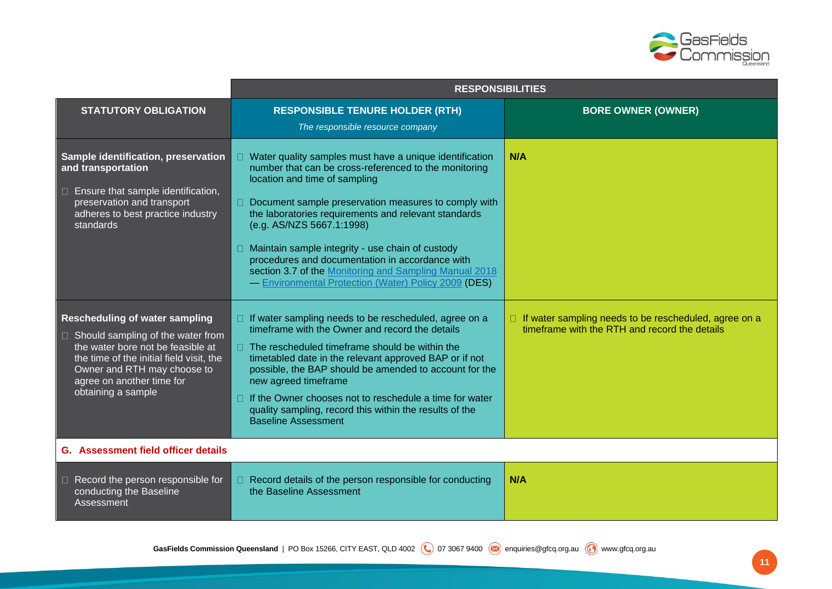

|                                                                                                                                                                                                                                                      | <b>RESPONSIBILITIES</b>                                                                                                                                                                                                                                                                                                                                                                                                                                                                                                                  |                                                                                                        |
|------------------------------------------------------------------------------------------------------------------------------------------------------------------------------------------------------------------------------------------------------|------------------------------------------------------------------------------------------------------------------------------------------------------------------------------------------------------------------------------------------------------------------------------------------------------------------------------------------------------------------------------------------------------------------------------------------------------------------------------------------------------------------------------------------|--------------------------------------------------------------------------------------------------------|
| <b>STATUTORY OBLIGATION</b>                                                                                                                                                                                                                          | <b>RESPONSIBLE TENURE HOLDER (RTH)</b>                                                                                                                                                                                                                                                                                                                                                                                                                                                                                                   | <b>BORE OWNER (OWNER)</b>                                                                              |
|                                                                                                                                                                                                                                                      | The responsible resource company                                                                                                                                                                                                                                                                                                                                                                                                                                                                                                         |                                                                                                        |
| Sample identification, preservation<br>and transportation<br>$\Box$ Ensure that sample identification,<br>preservation and transport<br>adheres to best practice industry<br>standards                                                               | Water quality samples must have a unique identification<br>number that can be cross-referenced to the monitoring<br>location and time of sampling<br>Document sample preservation measures to comply with<br>$\Box$<br>the laboratories requirements and relevant standards<br>(e.g. AS/NZS 5667.1:1998)<br>$\Box$ Maintain sample integrity - use chain of custody<br>procedures and documentation in accordance with<br>section 3.7 of the Monitoring and Sampling Manual 2018<br>- Environmental Protection (Water) Policy 2009 (DES) | N/A                                                                                                    |
| <b>Rescheduling of water sampling</b><br>$\Box$ Should sampling of the water from<br>the water bore not be feasible at<br>the time of the initial field visit, the<br>Owner and RTH may choose to<br>agree on another time for<br>obtaining a sample | $\Box$ If water sampling needs to be rescheduled, agree on a<br>timeframe with the Owner and record the details<br>$\Box$ The rescheduled timeframe should be within the<br>timetabled date in the relevant approved BAP or if not<br>possible, the BAP should be amended to account for the<br>new agreed timeframe<br>If the Owner chooses not to reschedule a time for water<br>quality sampling, record this within the results of the<br><b>Baseline Assessment</b>                                                                 | If water sampling needs to be rescheduled, agree on a<br>timeframe with the RTH and record the details |
| <b>G.</b> Assessment field officer details                                                                                                                                                                                                           |                                                                                                                                                                                                                                                                                                                                                                                                                                                                                                                                          |                                                                                                        |
| $\Box$ Record the person responsible for<br>conducting the Baseline<br>Assessment                                                                                                                                                                    | □ Record details of the person responsible for conducting<br>the Baseline Assessment                                                                                                                                                                                                                                                                                                                                                                                                                                                     | N/A                                                                                                    |

**11**